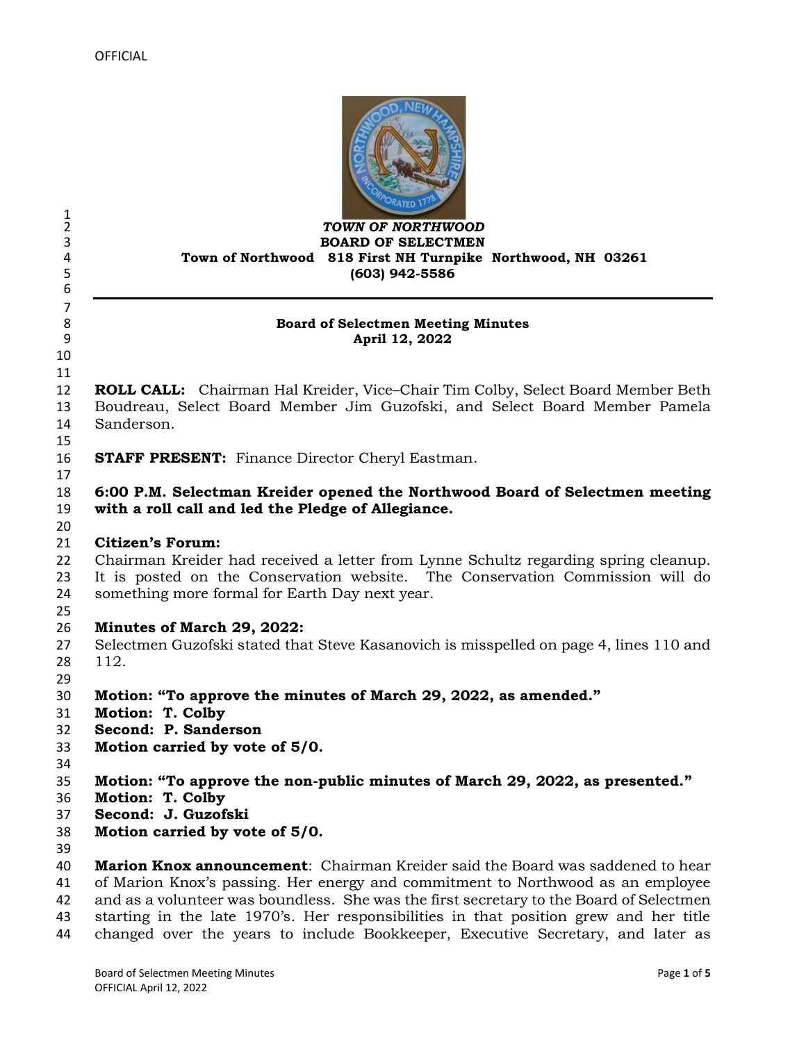

#### *TOWN OF NORTHWOOD* **BOARD OF SELECTMEN Town of Northwood 818 First NH Turnpike Northwood, NH 03261 (603) 942-5586**

#### **Board of Selectmen Meeting Minutes April 12, 2022**

 

 $\frac{1}{2}$ 

 

 **ROLL CALL:** Chairman Hal Kreider, Vice–Chair Tim Colby, Select Board Member Beth Boudreau, Select Board Member Jim Guzofski, and Select Board Member Pamela Sanderson.

**STAFF PRESENT:** Finance Director Cheryl Eastman.

# **6:00 P.M. Selectman Kreider opened the Northwood Board of Selectmen meeting with a roll call and led the Pledge of Allegiance.**

#### 

### **Citizen's Forum:**

 Chairman Kreider had received a letter from Lynne Schultz regarding spring cleanup. It is posted on the Conservation website. The Conservation Commission will do something more formal for Earth Day next year.

# **Minutes of March 29, 2022:**

- Selectmen Guzofski stated that Steve Kasanovich is misspelled on page 4, lines 110 and 112.
- 
- **Motion: "To approve the minutes of March 29, 2022, as amended."**
- **Motion: T. Colby**
- **Second: P. Sanderson**
- **Motion carried by vote of 5/0.**
- 
- **Motion: "To approve the non-public minutes of March 29, 2022, as presented."**
- **Motion: T. Colby**
- **Second: J. Guzofski**
- **Motion carried by vote of 5/0.**
- 

 **Marion Knox announcement**: Chairman Kreider said the Board was saddened to hear of Marion Knox's passing. Her energy and commitment to Northwood as an employee and as a volunteer was boundless. She was the first secretary to the Board of Selectmen starting in the late 1970's. Her responsibilities in that position grew and her title changed over the years to include Bookkeeper, Executive Secretary, and later as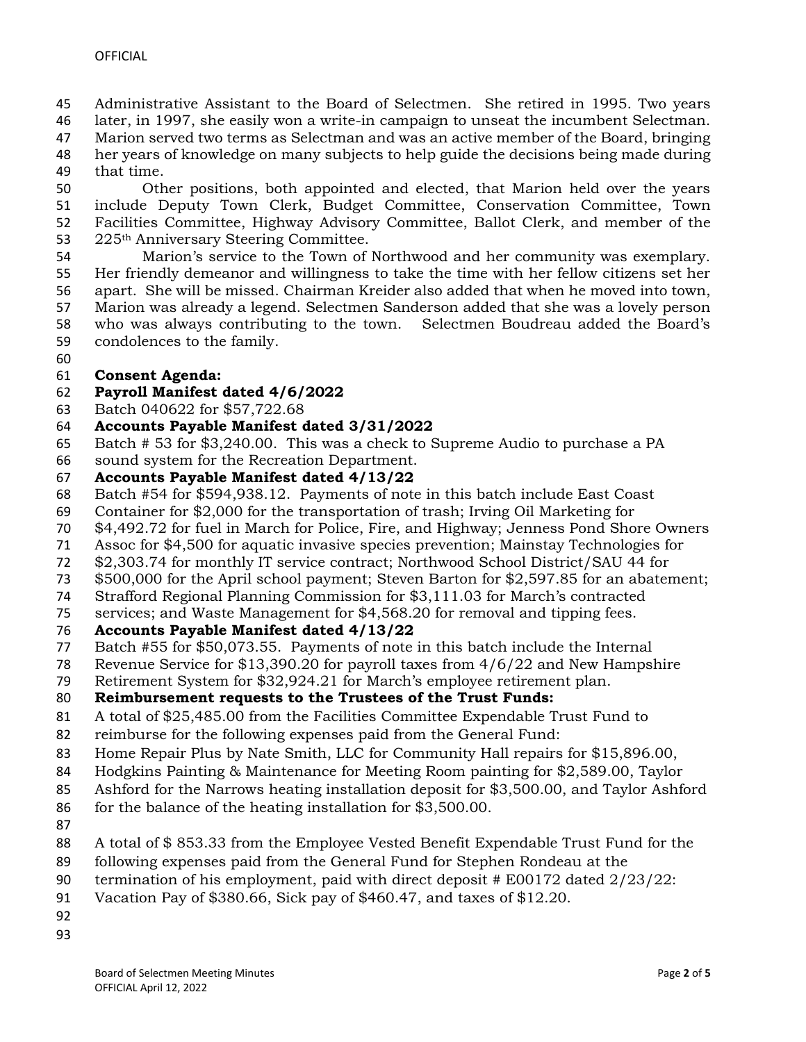- Administrative Assistant to the Board of Selectmen. She retired in 1995. Two years
- later, in 1997, she easily won a write-in campaign to unseat the incumbent Selectman.
- Marion served two terms as Selectman and was an active member of the Board, bringing her years of knowledge on many subjects to help guide the decisions being made during
- that time.
- Other positions, both appointed and elected, that Marion held over the years include Deputy Town Clerk, Budget Committee, Conservation Committee, Town Facilities Committee, Highway Advisory Committee, Ballot Clerk, and member of the 53 225<sup>th</sup> Anniversary Steering Committee.
- Marion's service to the Town of Northwood and her community was exemplary. Her friendly demeanor and willingness to take the time with her fellow citizens set her apart. She will be missed. Chairman Kreider also added that when he moved into town, Marion was already a legend. Selectmen Sanderson added that she was a lovely person who was always contributing to the town. Selectmen Boudreau added the Board's condolences to the family.
- 

### **Consent Agenda:**

### **Payroll Manifest dated 4/6/2022**

- Batch 040622 for \$57,722.68
- **Accounts Payable Manifest dated 3/31/2022**
- Batch # 53 for \$3,240.00. This was a check to Supreme Audio to purchase a PA
- sound system for the Recreation Department.
- **Accounts Payable Manifest dated 4/13/22**
- Batch #54 for \$594,938.12. Payments of note in this batch include East Coast
- Container for \$2,000 for the transportation of trash; Irving Oil Marketing for
- \$4,492.72 for fuel in March for Police, Fire, and Highway; Jenness Pond Shore Owners
- Assoc for \$4,500 for aquatic invasive species prevention; Mainstay Technologies for
- \$2,303.74 for monthly IT service contract; Northwood School District/SAU 44 for
- \$500,000 for the April school payment; Steven Barton for \$2,597.85 for an abatement;
- Strafford Regional Planning Commission for \$3,111.03 for March's contracted
- services; and Waste Management for \$4,568.20 for removal and tipping fees.

### **Accounts Payable Manifest dated 4/13/22**

- Batch #55 for \$50,073.55. Payments of note in this batch include the Internal
- Revenue Service for \$13,390.20 for payroll taxes from 4/6/22 and New Hampshire
- Retirement System for \$32,924.21 for March's employee retirement plan.

### **Reimbursement requests to the Trustees of the Trust Funds:**

- A total of \$25,485.00 from the Facilities Committee Expendable Trust Fund to
- reimburse for the following expenses paid from the General Fund:
- Home Repair Plus by Nate Smith, LLC for Community Hall repairs for \$15,896.00,
- Hodgkins Painting & Maintenance for Meeting Room painting for \$2,589.00, Taylor
- Ashford for the Narrows heating installation deposit for \$3,500.00, and Taylor Ashford
- for the balance of the heating installation for \$3,500.00.
- 
- A total of \$ 853.33 from the Employee Vested Benefit Expendable Trust Fund for the
- following expenses paid from the General Fund for Stephen Rondeau at the
- termination of his employment, paid with direct deposit # E00172 dated 2/23/22:
- Vacation Pay of \$380.66, Sick pay of \$460.47, and taxes of \$12.20.
- 
-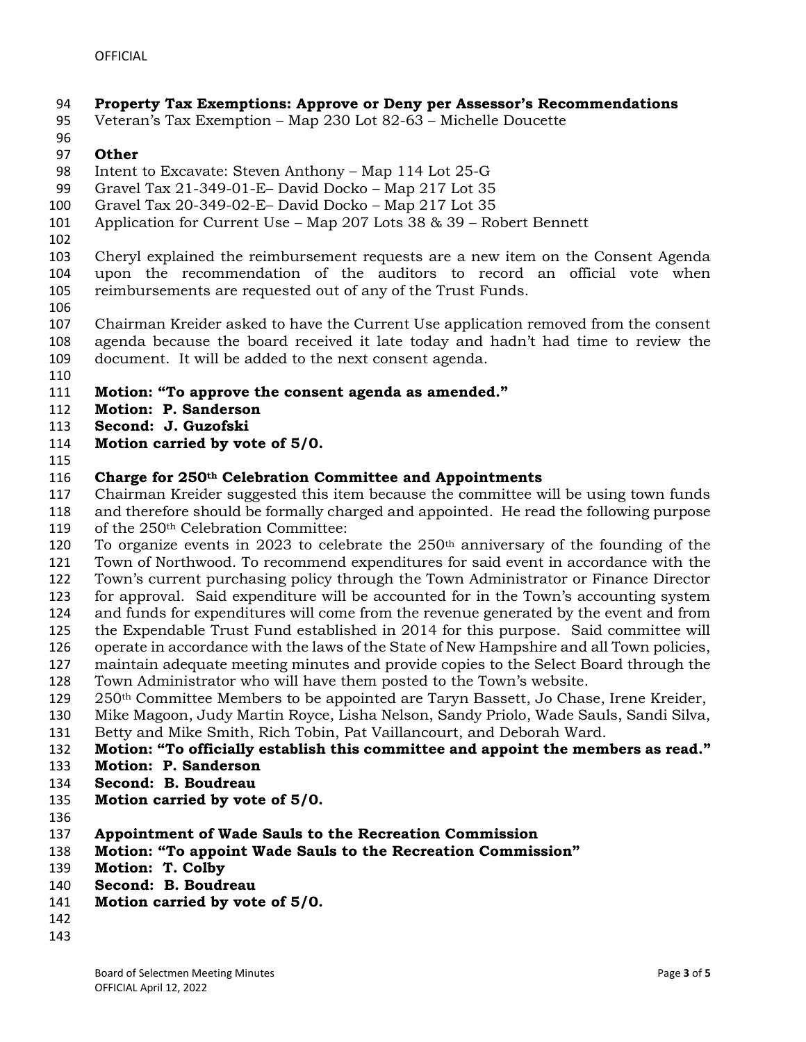## **Property Tax Exemptions: Approve or Deny per Assessor's Recommendations**

- Veteran's Tax Exemption Map 230 Lot 82-63 Michelle Doucette
- 

#### **Other**

- Intent to Excavate: Steven Anthony Map 114 Lot 25-G
- Gravel Tax 21-349-01-E– David Docko Map 217 Lot 35
- Gravel Tax 20-349-02-E– David Docko Map 217 Lot 35
- Application for Current Use Map 207 Lots 38 & 39 Robert Bennett
- 

 Cheryl explained the reimbursement requests are a new item on the Consent Agenda upon the recommendation of the auditors to record an official vote when reimbursements are requested out of any of the Trust Funds.

 Chairman Kreider asked to have the Current Use application removed from the consent agenda because the board received it late today and hadn't had time to review the document. It will be added to the next consent agenda.

- 
- **Motion: "To approve the consent agenda as amended."**
- **Motion: P. Sanderson**
- **Second: J. Guzofski**
- **Motion carried by vote of 5/0.**
- 

#### **Charge for 250th Celebration Committee and Appointments**

 Chairman Kreider suggested this item because the committee will be using town funds and therefore should be formally charged and appointed. He read the following purpose of the 250th Celebration Committee:

- 120 To organize events in 2023 to celebrate the  $250<sup>th</sup>$  anniversary of the founding of the Town of Northwood. To recommend expenditures for said event in accordance with the Town's current purchasing policy through the Town Administrator or Finance Director
- for approval. Said expenditure will be accounted for in the Town's accounting system
- and funds for expenditures will come from the revenue generated by the event and from
- the Expendable Trust Fund established in 2014 for this purpose. Said committee will
- operate in accordance with the laws of the State of New Hampshire and all Town policies,
- maintain adequate meeting minutes and provide copies to the Select Board through the
- Town Administrator who will have them posted to the Town's website.
- 250<sup>th</sup> Committee Members to be appointed are Taryn Bassett, Jo Chase, Irene Kreider,
- Mike Magoon, Judy Martin Royce, Lisha Nelson, Sandy Priolo, Wade Sauls, Sandi Silva, Betty and Mike Smith, Rich Tobin, Pat Vaillancourt, and Deborah Ward.
- 
- **Motion: "To officially establish this committee and appoint the members as read."**
- **Motion: P. Sanderson**
- **Second: B. Boudreau**
- **Motion carried by vote of 5/0.**
- 
- **Appointment of Wade Sauls to the Recreation Commission**
- **Motion: "To appoint Wade Sauls to the Recreation Commission"**
- **Motion: T. Colby**
- **Second: B. Boudreau**
- **Motion carried by vote of 5/0.**
- 
-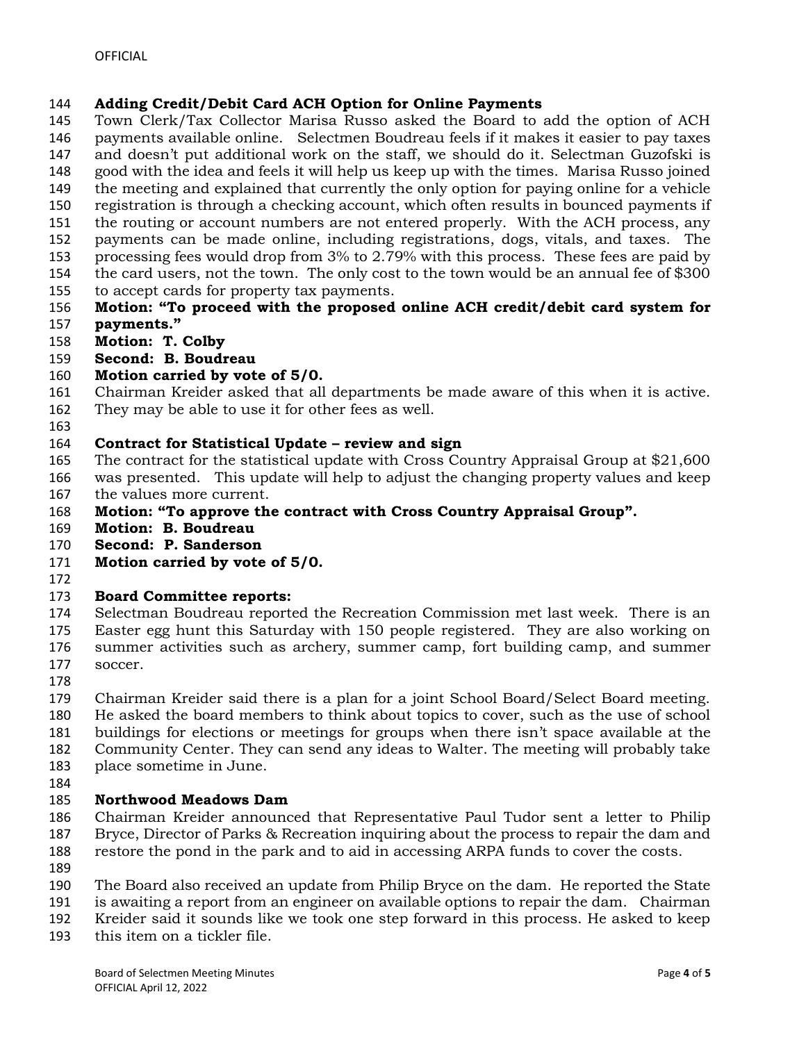### **Adding Credit/Debit Card ACH Option for Online Payments**

 Town Clerk/Tax Collector Marisa Russo asked the Board to add the option of ACH payments available online. Selectmen Boudreau feels if it makes it easier to pay taxes and doesn't put additional work on the staff, we should do it. Selectman Guzofski is

good with the idea and feels it will help us keep up with the times. Marisa Russo joined

- the meeting and explained that currently the only option for paying online for a vehicle
- registration is through a checking account, which often results in bounced payments if
- the routing or account numbers are not entered properly. With the ACH process, any
- payments can be made online, including registrations, dogs, vitals, and taxes. The processing fees would drop from 3% to 2.79% with this process. These fees are paid by
- the card users, not the town. The only cost to the town would be an annual fee of \$300
- to accept cards for property tax payments.
- **Motion: "To proceed with the proposed online ACH credit/debit card system for payments."**
- **Motion: T. Colby**
- **Second: B. Boudreau**

## **Motion carried by vote of 5/0.**

- Chairman Kreider asked that all departments be made aware of this when it is active.
- They may be able to use it for other fees as well.
- 

## **Contract for Statistical Update – review and sign**

- The contract for the statistical update with Cross Country Appraisal Group at \$21,600
- was presented. This update will help to adjust the changing property values and keep
- the values more current.
- **Motion: "To approve the contract with Cross Country Appraisal Group".**
- **Motion: B. Boudreau**
- **Second: P. Sanderson**
- **Motion carried by vote of 5/0.**
- 

# **Board Committee reports:**

 Selectman Boudreau reported the Recreation Commission met last week. There is an Easter egg hunt this Saturday with 150 people registered. They are also working on summer activities such as archery, summer camp, fort building camp, and summer soccer.

 Chairman Kreider said there is a plan for a joint School Board/Select Board meeting. He asked the board members to think about topics to cover, such as the use of school buildings for elections or meetings for groups when there isn't space available at the

- Community Center. They can send any ideas to Walter. The meeting will probably take
- place sometime in June.
- 

# **Northwood Meadows Dam**

 Chairman Kreider announced that Representative Paul Tudor sent a letter to Philip Bryce, Director of Parks & Recreation inquiring about the process to repair the dam and restore the pond in the park and to aid in accessing ARPA funds to cover the costs.

- 
- The Board also received an update from Philip Bryce on the dam. He reported the State
- is awaiting a report from an engineer on available options to repair the dam. Chairman
- Kreider said it sounds like we took one step forward in this process. He asked to keep
- this item on a tickler file.